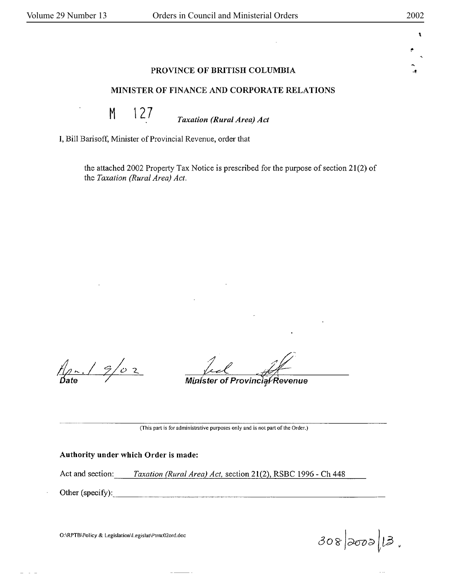·•

 $\mathbf{L}$ 

# **PROVINCE OF BRITISH COLUMBIA**

# **MINISTER OF FINANCE AND CORPORATE RELATIONS**

M 127 *Taxation (Rural Area) Act* 

I, Bill Barisoff, Minister of Provincial Revenue, order that

the attached 2002 Property Tax Notice is prescribed for the purpose of section  $21(2)$  of the *Taxation (Rural Area) Act.* 

 $f(x, 19/02)$ 

Minister of Provincial Revenue

(This part is for administrative purposes only and is not part of the Order.)

# **Authority under which Order is made:**

Act and section: Taxation (Rural Area) Act, section 21(2), RSBC 1996 - Ch 448

Other (specify):  $\qquad \qquad$ 

O:\RPTB\Policy & Legislation\Legislat\Ptntc02ord.doc

 $308|0000|13$ ,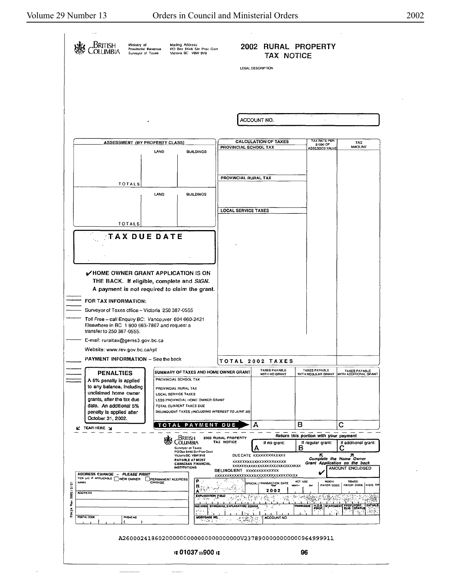l,

 $\ddot{\phantom{0}}$ 

|                                                                                      | Ministry of<br>itish<br>Provincial Revenue<br>Surveyor of Taxes                                                                                                                   | Mailing Address<br>PO Box 9446 Sin Prov Govt<br>Viciona BC V8W 9V6                                                                                                                             |                                                                                           | 2002 RURAL PROPERTY<br>TAX NOTICE<br>LEGAL DESCRIPTION               |                                                                                        |                                                    |
|--------------------------------------------------------------------------------------|-----------------------------------------------------------------------------------------------------------------------------------------------------------------------------------|------------------------------------------------------------------------------------------------------------------------------------------------------------------------------------------------|-------------------------------------------------------------------------------------------|----------------------------------------------------------------------|----------------------------------------------------------------------------------------|----------------------------------------------------|
|                                                                                      |                                                                                                                                                                                   |                                                                                                                                                                                                |                                                                                           | ACCOUNT NO.                                                          |                                                                                        |                                                    |
|                                                                                      | <b>ASSESSMENT (BY PROPERTY CLASS)</b>                                                                                                                                             |                                                                                                                                                                                                |                                                                                           | <b>CALCULATION OF TAXES</b>                                          | TAX PATE PER<br>\$1000 OF                                                              | <b>TAX</b>                                         |
|                                                                                      |                                                                                                                                                                                   | LAND<br><b>BUILDINGS</b>                                                                                                                                                                       | PROVINCIAL SCHOOL TAX                                                                     |                                                                      | ASSESSED VALUE                                                                         | AMOUNT                                             |
|                                                                                      | <b>TOTALS</b>                                                                                                                                                                     |                                                                                                                                                                                                | PROVINCIAL RURAL TAX                                                                      |                                                                      |                                                                                        |                                                    |
|                                                                                      |                                                                                                                                                                                   | LAND<br><b>BUILDINGS</b>                                                                                                                                                                       | <b>LOCAL SERVICE TAXES</b>                                                                |                                                                      |                                                                                        |                                                    |
|                                                                                      | TOTALS                                                                                                                                                                            |                                                                                                                                                                                                |                                                                                           |                                                                      |                                                                                        |                                                    |
|                                                                                      | <b>TAX DUE DATE</b>                                                                                                                                                               |                                                                                                                                                                                                |                                                                                           |                                                                      |                                                                                        |                                                    |
|                                                                                      | V HOME OWNER GRANT APPLICATION IS ON                                                                                                                                              |                                                                                                                                                                                                |                                                                                           |                                                                      |                                                                                        |                                                    |
|                                                                                      | THE BACK. If eligible, complete and SIGN.<br>A payment is not required to claim the grant.                                                                                        |                                                                                                                                                                                                |                                                                                           |                                                                      |                                                                                        |                                                    |
|                                                                                      | FOR TAX INFORMATION:<br>Surveyor of Taxes office - Victoria 250 387-0555                                                                                                          |                                                                                                                                                                                                |                                                                                           |                                                                      |                                                                                        |                                                    |
|                                                                                      | Toll Free - call Enquiry BC: Vancouver 604 660-2421<br>Elsewhere in BC 1 B00 663-7867 and request a<br>transfer to 250 387-0555.                                                  |                                                                                                                                                                                                |                                                                                           |                                                                      |                                                                                        |                                                    |
|                                                                                      | E-mail: ruraltax@gems3.gov.bc.ca                                                                                                                                                  |                                                                                                                                                                                                |                                                                                           |                                                                      |                                                                                        |                                                    |
|                                                                                      | Website: www.rev.gov.bc.ca/rpt                                                                                                                                                    |                                                                                                                                                                                                |                                                                                           |                                                                      |                                                                                        |                                                    |
|                                                                                      | <b>PAYMENT INFORMATION - See the back</b>                                                                                                                                         |                                                                                                                                                                                                |                                                                                           | TOTAL 2002 TAXES                                                     |                                                                                        |                                                    |
|                                                                                      | <b>PENALTIES</b><br>A 5% penalty is applied                                                                                                                                       | SUMMARY OF TAXES AND HOME OWNER GRANT                                                                                                                                                          | <b>TAXES PAYABLE</b><br>WITH NO GRANT                                                     | TAXES PAYABLE<br>WITH REGULAR GRANT                                  | TAXES PAYABLE<br>WITH ADDITIONAL GRANT                                                 |                                                    |
|                                                                                      | to any balance, including<br>unclaimed home owner<br>grants, after the tax due<br>date. An additional 5%<br>penalty is applied after                                              | PROVINCIAL SCHOOL TAX<br><b>PROVINCIAL RURAL TAX</b><br>LOCAL SERVICE TAXES<br>LESS PROVINCIAL HOME OWNER GRANT<br>TOTAL CURRENT TAXES DUE<br>DELINQUENT TAXES (INCLUDING INTEREST TO JUNE 30) |                                                                                           |                                                                      |                                                                                        |                                                    |
|                                                                                      | October 31, 2002.<br>PAYMENT<br>TOTAL<br><b>L' TEAR HERE</b> J<br>British<br>2002 RURAL PROPERTY<br>TAX NOTICE<br><b>OLUMBIA</b><br>Surveyor of Taxes<br>POBox 9446 Stn Prov Govl |                                                                                                                                                                                                |                                                                                           | А                                                                    | в                                                                                      | с                                                  |
|                                                                                      |                                                                                                                                                                                   |                                                                                                                                                                                                |                                                                                           |                                                                      | Return this portion with your payment                                                  |                                                    |
|                                                                                      |                                                                                                                                                                                   |                                                                                                                                                                                                |                                                                                           | If no grant:                                                         | If regular grant:<br>B                                                                 | If additional grant:                               |
|                                                                                      | ADDRESS CHANGE - PLEASE PRINT                                                                                                                                                     | DELINQUENT XXXXXXXXXXXX                                                                                                                                                                        | DUE DATE XXXXXXXXXXXX<br><b>XXXXXXXXXXXXXXXXXXXXXXX</b><br>XXXXXXXXXXXXXXXXXXXXXXXXXXXXXX |                                                                      | 71<br>R<br>Complete the Home Owner<br>Grant Application on the back<br>AMOUNT ENCLOSED |                                                    |
| 2002/3/2                                                                             | TICK (w) IF APPLICABLE TINEW OWNER<br><b>PERMANENT ADDRESS</b><br>NAME<br><b>ADDRESS</b>                                                                                          | EXPLANATION FIELD<br>55                                                                                                                                                                        | xxxxxxxxxxxxxxxxxxxxxxxxxxxxxxxxx<br>SPECIAL TRANSACTION DATE<br>2002                     | NEIGH,<br><b>ACT USE</b><br>PAYOR CODE<br><b>MONTH</b>               | TENEO<br>PAYOR CODE HOG T/P                                                            |                                                    |
| å<br>N,<br>ć                                                                         | POSTAL CODE<br><b>PHONE NO</b>                                                                                                                                                    | FLE COOL<br>Mortgage No,<br>ರ್ ಪೊಲೀಸ                                                                                                                                                           | STANDARD, EXPLANATION CODES,<br>$-2.3583$                                                 | ينون ويتبع<br>· 新<br>$\mathcal{L}_{\mathcal{P}}$<br>٠Ą<br>ACCOUNT NO | <b>Anne</b> al<br>TRANSCODE I                                                          | <b>H.O.O. STATEMENT PROP FORE, INITIALS</b><br>A87 |
|                                                                                      |                                                                                                                                                                                   |                                                                                                                                                                                                |                                                                                           |                                                                      |                                                                                        |                                                    |
| A26000241860200000000000000000000000023789000000000000964999911<br>is 01037 in900 is |                                                                                                                                                                                   |                                                                                                                                                                                                |                                                                                           |                                                                      | 96                                                                                     |                                                    |
|                                                                                      |                                                                                                                                                                                   |                                                                                                                                                                                                |                                                                                           |                                                                      |                                                                                        |                                                    |

 $\overline{\phantom{m}}$ 

 $\frac{1}{\sqrt{2}}$ 

 $\mathcal{A}$